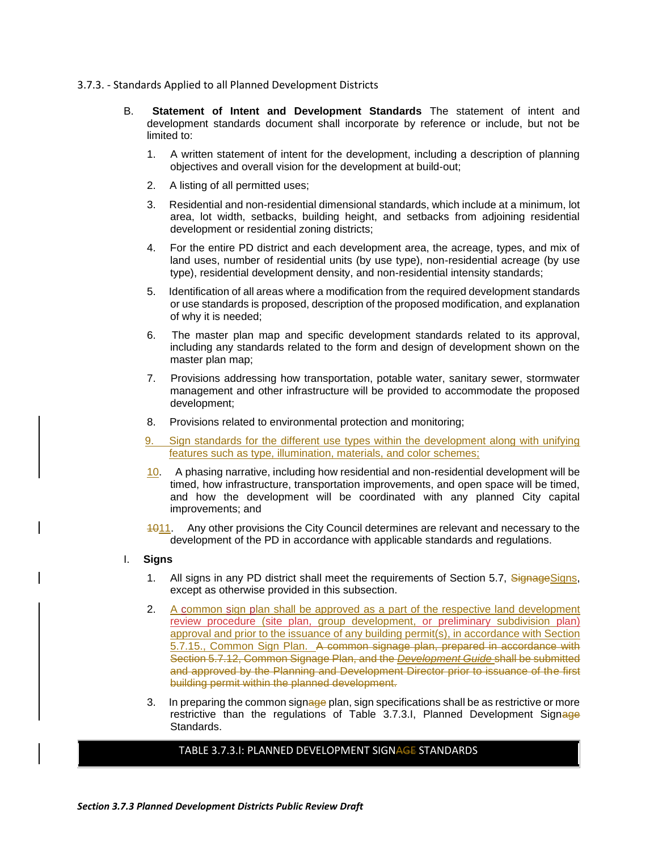- 3.7.3. Standards Applied to all Planned Development Districts
	- B. **Statement of Intent and Development Standards** The statement of intent and development standards document shall incorporate by reference or include, but not be limited to:
		- 1. A written statement of intent for the development, including a description of planning objectives and overall vision for the development at build-out;
		- 2. A listing of all permitted uses;
		- 3. Residential and non-residential dimensional standards, which include at a minimum, lot area, lot width, setbacks, building height, and setbacks from adjoining residential development or residential zoning districts;
		- 4. For the entire PD district and each development area, the acreage, types, and mix of land uses, number of residential units (by use type), non-residential acreage (by use type), residential development density, and non-residential intensity standards;
		- 5. Identification of all areas where a modification from the required development standards or use standards is proposed, description of the proposed modification, and explanation of why it is needed;
		- 6. The master plan map and specific development standards related to its approval, including any standards related to the form and design of development shown on the master plan map;
		- 7. Provisions addressing how transportation, potable water, sanitary sewer, stormwater management and other infrastructure will be provided to accommodate the proposed development;
		- 8. Provisions related to environmental protection and monitoring;
		- 9. Sign standards for the different use types within the development along with unifying features such as type, illumination, materials, and color schemes;
		- 10. A phasing narrative, including how residential and non-residential development will be timed, how infrastructure, transportation improvements, and open space will be timed, and how the development will be coordinated with any planned City capital improvements; and
		- 1011. Any other provisions the City Council determines are relevant and necessary to the development of the PD in accordance with applicable standards and regulations.
	- I. **Signs**
		- 1. All signs in any PD district shall meet the requirements of Section 5.7, Signage Signs, except as otherwise provided in this subsection.
		- 2. A common sign plan shall be approved as a part of the respective land development review procedure (site plan, group development, or preliminary subdivision plan) approval and prior to the issuance of any building permit(s), in accordance with Section 5.7.15., Common Sign Plan. A common signage plan, prepared in accordance with Section 5.7.12, Common Signage Plan, and the *Development Guide* shall be submitted and approved by the Planning and Development Director prior to issuance of the first building permit within the planned development.
		- 3. In preparing the common signage plan, sign specifications shall be as restrictive or more restrictive than the regulations of Table 3.7.3.I, Planned Development Signage Standards.

## TABLE 3.7.3.I: PLANNED DEVELOPMENT SIGNAGE STANDARDS